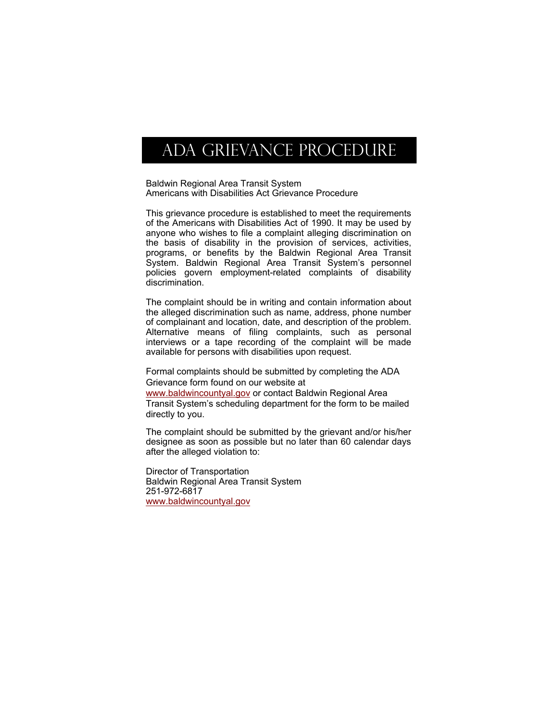## ADA GRIEVANCE PROCEDURE

Baldwin Regional Area Transit System Americans with Disabilities Act Grievance Procedure

This grievance procedure is established to meet the requirements of the Americans with Disabilities Act of 1990. It may be used by anyone who wishes to file a complaint alleging discrimination on the basis of disability in the provision of services, activities, programs, or benefits by the Baldwin Regional Area Transit System. Baldwin Regional Area Transit System's personnel policies govern employment-related complaints of disability discrimination.

The complaint should be in writing and contain information about the alleged discrimination such as name, address, phone number of complainant and location, date, and description of the problem. Alternative means of filing complaints, such as personal interviews or a tape recording of the complaint will be made available for persons with disabilities upon request.

Formal complaints should be submitted by completing the ADA Grievance form found on our website at

www.baldwincountyal.gov or contact Baldwin Regional Area Transit System's scheduling department for the form to be mailed directly to you.

The complaint should be submitted by the grievant and/or his/her designee as soon as possible but no later than 60 calendar days after the alleged violation to:

Director of Transportation Baldwin Regional Area Transit System 251-972-6817 www.baldwincountyal.gov